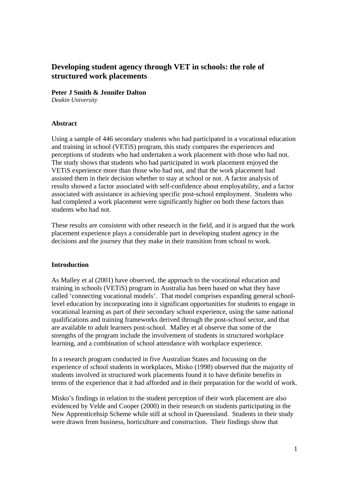# **Developing student agency through VET in schools: the role of structured work placements**

**Peter J Smith & Jennifer Dalton**

*Deakin University*

# **Abstract**

Using a sample of 446 secondary students who had participated in a vocational education and training in school (VETiS) program, this study compares the experiences and perceptions of students who had undertaken a work placement with those who had not. The study shows that students who had participated in work placement enjoyed the VETiS experience more than those who had not, and that the work placement had assisted them in their decision whether to stay at school or not. A factor analysis of results showed a factor associated with self-confidence about employability, and a factor associated with assistance in achieving specific post-school employment. Students who had completed a work placement were significantly higher on both these factors than students who had not.

These results are consistent with other research in the field, and it is argued that the work placement experience plays a considerable part in developing student agency in the decisions and the journey that they make in their transition from school to work.

# **Introduction**

As Malley et al (2001) have observed, the approach to the vocational education and training in schools (VETiS) program in Australia has been based on what they have called 'connecting vocational models'. That model comprises expanding general schoollevel education by incorporating into it significant opportunities for students to engage in vocational learning as part of their secondary school experience, using the same national qualifications and training frameworks derived through the post-school sector, and that are available to adult learners post-school. Malley et al observe that some of the strengths of the program include the involvement of students in structured workplace learning, and a combination of school attendance with workplace experience.

In a research program conducted in five Australian States and focussing on the experience of school students in workplaces, Misko (1998) observed that the majority of students involved in structured work placements found it to have definite benefits in terms of the experience that it had afforded and in their preparation for the world of work.

Misko's findings in relation to the student perception of their work placement are also evidenced by Velde and Cooper (2000) in their research on students participating in the New Apprenticehsip Scheme while still at school in Queensland. Students in their study were drawn from business, horticulture and construction. Their findings show that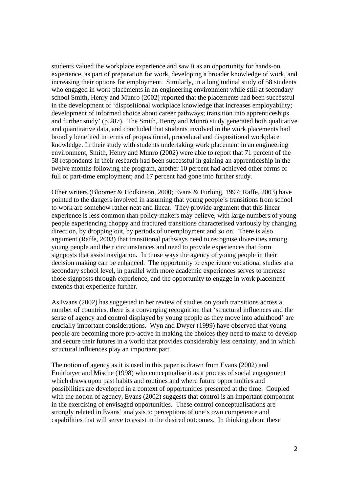students valued the workplace experience and saw it as an opportunity for hands-on experience, as part of preparation for work, developing a broader knowledge of work, and increasing their options for employment. Similarly, in a longitudinal study of 58 students who engaged in work placements in an engineering environment while still at secondary school Smith, Henry and Munro (2002) reported that the placements had been successful in the development of 'dispositional workplace knowledge that increases employability; development of informed choice about career pathways; transition into apprenticeships and further study' (p.287). The Smith, Henry and Munro study generated both qualitative and quantitative data, and concluded that students involved in the work placements had broadly benefited in terms of propositional, procedural and dispositional workplace knowledge. In their study with students undertaking work placement in an engineering environment, Smith, Henry and Munro (2002) were able to report that 71 percent of the 58 respondents in their research had been successful in gaining an apprenticeship in the twelve months following the program, another 10 percent had achieved other forms of full or part-time employment; and 17 percent had gone into further study.

Other writers (Bloomer & Hodkinson, 2000; Evans & Furlong, 1997; Raffe, 2003) have pointed to the dangers involved in assuming that young people's transitions from school to work are somehow rather neat and linear. They provide argument that this linear experience is less common than policy-makers may believe, with large numbers of young people experiencing choppy and fractured transitions characterised variously by changing direction, by dropping out, by periods of unemployment and so on. There is also argument (Raffe, 2003) that transitional pathways need to recognise diversities among young people and their circumstances and need to provide experiences that form signposts that assist navigation. In those ways the agency of young people in their decision making can be enhanced. The opportunity to experience vocational studies at a secondary school level, in parallel with more academic experiences serves to increase those signposts through experience, and the opportunity to engage in work placement extends that experience further.

As Evans (2002) has suggested in her review of studies on youth transitions across a number of countries, there is a converging recognition that 'structural influences and the sense of agency and control displayed by young people as they move into adulthood' are crucially important considerations. Wyn and Dwyer (1999) have observed that young people are becoming more pro-active in making the choices they need to make to develop and secure their futures in a world that provides considerably less certainty, and in which structural influences play an important part.

The notion of agency as it is used in this paper is drawn from Evans (2002) and Emirbayer and Mische (1998) who conceptualise it as a process of social engagement which draws upon past habits and routines and where future opportunities and possibilities are developed in a context of opportunities presented at the time. Coupled with the notion of agency, Evans (2002) suggests that control is an important component in the exercising of envisaged opportunities. These control conceptualisations are strongly related in Evans' analysis to perceptions of one's own competence and capabilities that will serve to assist in the desired outcomes. In thinking about these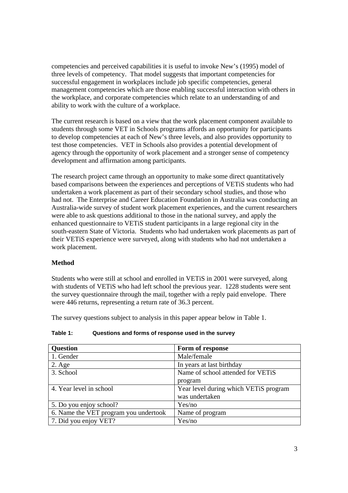competencies and perceived capabilities it is useful to invoke New's (1995) model of three levels of competency. That model suggests that important competencies for successful engagement in workplaces include job specific competencies, general management competencies which are those enabling successful interaction with others in the workplace, and corporate competencies which relate to an understanding of and ability to work with the culture of a workplace.

The current research is based on a view that the work placement component available to students through some VET in Schools programs affords an opportunity for participants to develop competencies at each of New's three levels, and also provides opportunity to test those competencies. VET in Schools also provides a potential development of agency through the opportunity of work placement and a stronger sense of competency development and affirmation among participants.

The research project came through an opportunity to make some direct quantitatively based comparisons between the experiences and perceptions of VETiS students who had undertaken a work placement as part of their secondary school studies, and those who had not. The Enterprise and Career Education Foundation in Australia was conducting an Australia-wide survey of student work placement experiences, and the current researchers were able to ask questions additional to those in the national survey, and apply the enhanced questionnaire to VETiS student participants in a large regional city in the south-eastern State of Victoria. Students who had undertaken work placements as part of their VETiS experience were surveyed, along with students who had not undertaken a work placement.

# **Method**

Students who were still at school and enrolled in VETiS in 2001 were surveyed, along with students of VETiS who had left school the previous year. 1228 students were sent the survey questionnaire through the mail, together with a reply paid envelope. There were 446 returns, representing a return rate of 36.3 percent.

The survey questions subject to analysis in this paper appear below in Table 1.

## **Table 1: Questions and forms of response used in the survey**

| <b>Question</b>                       | Form of response                      |
|---------------------------------------|---------------------------------------|
| 1. Gender                             | Male/female                           |
| $2. \text{Age}$                       | In years at last birthday             |
| 3. School                             | Name of school attended for VETiS     |
|                                       | program                               |
| 4. Year level in school               | Year level during which VETiS program |
|                                       | was undertaken                        |
| 5. Do you enjoy school?               | Yes/no                                |
| 6. Name the VET program you undertook | Name of program                       |
| 7. Did you enjoy VET?                 | Yes/no                                |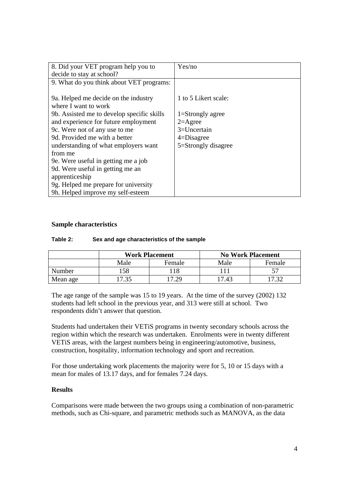| 8. Did your VET program help you to        | Yes/no               |
|--------------------------------------------|----------------------|
| decide to stay at school?                  |                      |
| 9. What do you think about VET programs:   |                      |
|                                            |                      |
| 9a. Helped me decide on the industry       | 1 to 5 Likert scale: |
| where I want to work                       |                      |
| 9b. Assisted me to develop specific skills | 1=Strongly agree     |
| and experience for future employment       | $2 = \text{Agree}$   |
| 9c. Were not of any use to me              | 3=Uncertain          |
| 9d. Provided me with a better              | $4 = Disagree$       |
| understanding of what employers want       | 5=Strongly disagree  |
| from me                                    |                      |
| 9e. Were useful in getting me a job        |                      |
| 9d. Were useful in getting me an           |                      |
| apprenticeship                             |                      |
| 9g. Helped me prepare for university       |                      |
| 9h. Helped improve my self-esteem          |                      |

# **Sample characteristics**

### **Table 2: Sex and age characteristics of the sample**

|          | <b>Work Placement</b> |        | <b>No Work Placement</b> |        |
|----------|-----------------------|--------|--------------------------|--------|
|          | Male                  | Female | Male                     | Female |
| Number   | 58                    | 18     |                          |        |
| Mean age | '.35                  | 7.29   | 7.43                     | 17 32  |

The age range of the sample was 15 to 19 years. At the time of the survey (2002) 132 students had left school in the previous year, and 313 were still at school. Two respondents didn't answer that question.

Students had undertaken their VETiS programs in twenty secondary schools across the region within which the research was undertaken. Enrolments were in twenty different VETiS areas, with the largest numbers being in engineering/automotive, business, construction, hospitality, information technology and sport and recreation.

For those undertaking work placements the majority were for 5, 10 or 15 days with a mean for males of 13.17 days, and for females 7.24 days.

# **Results**

Comparisons were made between the two groups using a combination of non-parametric methods, such as Chi-square, and parametric methods such as MANOVA, as the data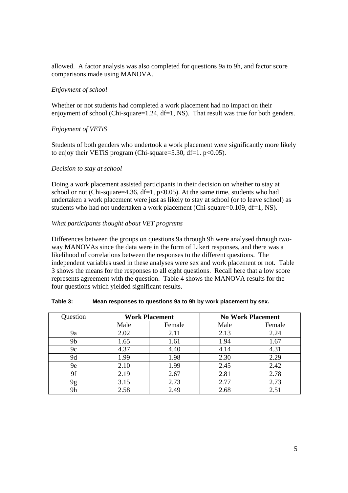allowed. A factor analysis was also completed for questions 9a to 9h, and factor score comparisons made using MANOVA.

## *Enjoyment of school*

Whether or not students had completed a work placement had no impact on their enjoyment of school (Chi-square=1.24, df=1, NS). That result was true for both genders.

### *Enjoyment of VETiS*

Students of both genders who undertook a work placement were significantly more likely to enjoy their VETiS program (Chi-square=5.30, df=1.  $p<0.05$ ).

#### *Decision to stay at school*

Doing a work placement assisted participants in their decision on whether to stay at school or not (Chi-square=4.36,  $df=1$ , p<0.05). At the same time, students who had undertaken a work placement were just as likely to stay at school (or to leave school) as students who had not undertaken a work placement (Chi-square=0.109, df=1, NS).

## *What participants thought about VET programs*

Differences between the groups on questions 9a through 9h were analysed through twoway MANOVAs since the data were in the form of Likert responses, and there was a likelihood of correlations between the responses to the different questions. The independent variables used in these analyses were sex and work placement or not. Table 3 shows the means for the responses to all eight questions. Recall here that a low score represents agreement with the question. Table 4 shows the MANOVA results for the four questions which yielded significant results.

| Question | <b>Work Placement</b> |        |      | <b>No Work Placement</b> |
|----------|-----------------------|--------|------|--------------------------|
|          | Male                  | Female | Male | Female                   |
| 9a       | 2.02                  | 2.11   | 2.13 | 2.24                     |
| 9b       | 1.65                  | 1.61   | 1.94 | 1.67                     |
| 9c       | 4.37                  | 4.40   | 4.14 | 4.31                     |
| 9d       | 1.99                  | 1.98   | 2.30 | 2.29                     |
| 9e       | 2.10                  | 1.99   | 2.45 | 2.42                     |
| 9f       | 2.19                  | 2.67   | 2.81 | 2.78                     |
| 9g       | 3.15                  | 2.73   | 2.77 | 2.73                     |
| 9h       | 2.58                  | 2.49   | 2.68 | 2.51                     |

**Table 3: Mean responses to questions 9a to 9h by work placement by sex.**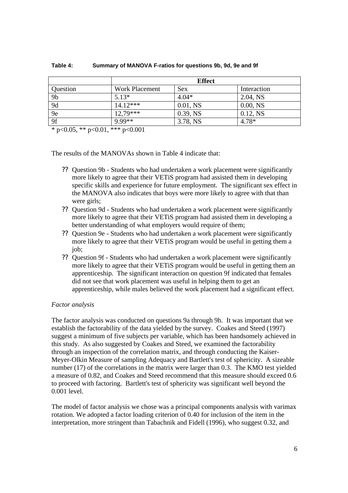|                | <b>Effect</b>         |             |             |
|----------------|-----------------------|-------------|-------------|
| Question       | <b>Work Placement</b> | <b>Sex</b>  | Interaction |
| 9 <sub>b</sub> | $5.13*$               | $4.04*$     | $2.04$ , NS |
| <b>9d</b>      | $14.12***$            | $0.01$ , NS | 0.00, NS    |
| 9e             | $12,79***$            | $0.39$ , NS | $0.12$ , NS |
| 9f             | 9.99**                | 3.78, NS    | $4.78*$     |

#### **Table 4: Summary of MANOVA F-ratios for questions 9b, 9d, 9e and 9f**

\* p<0.05, \*\* p<0.01, \*\*\* p<0.001

The results of the MANOVAs shown in Table 4 indicate that:

- ?? Question 9b Students who had undertaken a work placement were significantly more likely to agree that their VETiS program had assisted them in developing specific skills and experience for future employment. The significant sex effect in the MANOVA also indicates that boys were more likely to agree with that than were girls;
- ?? Question 9d Students who had undertaken a work placement were significantly more likely to agree that their VETiS program had assisted them in developing a better understanding of what employers would require of them;
- ?? Question 9e Students who had undertaken a work placement were significantly more likely to agree that their VETiS program would be useful in getting them a job;
- ?? Question 9f Students who had undertaken a work placement were significantly more likely to agree that their VETiS program would be useful in getting them an apprenticeship. The significant interaction on question 9f indicated that females did not see that work placement was useful in helping them to get an apprenticeship, while males believed the work placement had a significant effect.

# *Factor analysis*

The factor analysis was conducted on questions 9a through 9h. It was important that we establish the factorability of the data yielded by the survey. Coakes and Steed (1997) suggest a minimum of five subjects per variable, which has been handsomely achieved in this study. As also suggested by Coakes and Steed, we examined the factorability through an inspection of the correlation matrix, and through conducting the Kaiser-Meyer-Olkin Measure of sampling Adequacy and Bartlett's test of sphericity. A sizeable number (17) of the correlations in the matrix were larger than 0.3. The KMO test yielded a measure of 0.82, and Coakes and Steed recommend that this measure should exceed 0.6 to proceed with factoring. Bartlett's test of sphericity was significant well beyond the 0.001 level.

The model of factor analysis we chose was a principal components analysis with varimax rotation. We adopted a factor loading criterion of 0.40 for inclusion of the item in the interpretation, more stringent than Tabachnik and Fidell (1996), who suggest 0.32, and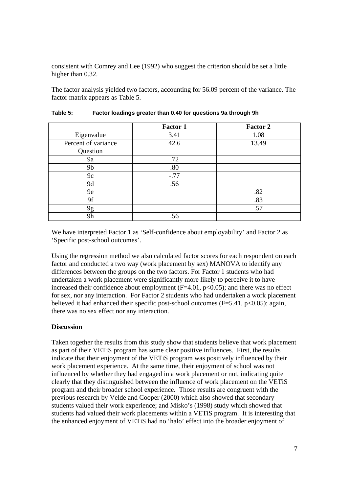consistent with Comrey and Lee (1992) who suggest the criterion should be set a little higher than 0.32.

The factor analysis yielded two factors, accounting for 56.09 percent of the variance. The factor matrix appears as Table 5.

|                     | <b>Factor 1</b> | <b>Factor 2</b> |
|---------------------|-----------------|-----------------|
| Eigenvalue          | 3.41            | 1.08            |
| Percent of variance | 42.6            | 13.49           |
| Question            |                 |                 |
| 9a                  | .72             |                 |
| 9 <sub>b</sub>      | .80             |                 |
| 9c                  | $-.77$          |                 |
| 9d                  | .56             |                 |
| 9e                  |                 | .82             |
| 9f                  |                 | .83             |
| 9g                  |                 | .57             |
| 9h                  | .56             |                 |

| Table 5: | Factor loadings greater than 0.40 for questions 9a through 9h |
|----------|---------------------------------------------------------------|
|          |                                                               |

We have interpreted Factor 1 as 'Self-confidence about employability' and Factor 2 as 'Specific post-school outcomes'.

Using the regression method we also calculated factor scores for each respondent on each factor and conducted a two way (work placement by sex) MANOVA to identify any differences between the groups on the two factors. For Factor 1 students who had undertaken a work placement were significantly more likely to perceive it to have increased their confidence about employment  $(F=4.01, p<0.05)$ ; and there was no effect for sex, nor any interaction. For Factor 2 students who had undertaken a work placement believed it had enhanced their specific post-school outcomes ( $F=5.41$ ,  $p<0.05$ ); again, there was no sex effect nor any interaction.

### **Discussion**

Taken together the results from this study show that students believe that work placement as part of their VETiS program has some clear positive influences. First, the results indicate that their enjoyment of the VETiS program was positively influenced by their work placement experience. At the same time, their enjoyment of school was not influenced by whether they had engaged in a work placement or not, indicating quite clearly that they distinguished between the influence of work placement on the VETiS program and their broader school experience. Those results are congruent with the previous research by Velde and Cooper (2000) which also showed that secondary students valued their work experience; and Misko's (1998) study which showed that students had valued their work placements within a VETiS program. It is interesting that the enhanced enjoyment of VETiS had no 'halo' effect into the broader enjoyment of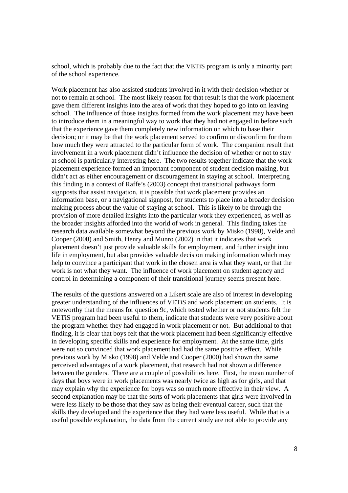school, which is probably due to the fact that the VETiS program is only a minority part of the school experience.

Work placement has also assisted students involved in it with their decision whether or not to remain at school. The most likely reason for that result is that the work placement gave them different insights into the area of work that they hoped to go into on leaving school. The influence of those insights formed from the work placement may have been to introduce them in a meaningful way to work that they had not engaged in before such that the experience gave them completely new information on which to base their decision; or it may be that the work placement served to confirm or disconfirm for them how much they were attracted to the particular form of work. The companion result that involvement in a work placement didn't influence the decision of whether or not to stay at school is particularly interesting here. The two results together indicate that the work placement experience formed an important component of student decision making, but didn't act as either encouragement or discouragement in staying at school. Interpreting this finding in a context of Raffe's (2003) concept that transitional pathways form signposts that assist navigation, it is possible that work placement provides an information base, or a navigational signpost, for students to place into a broader decision making process about the value of staying at school. This is likely to be through the provision of more detailed insights into the particular work they experienced, as well as the broader insights afforded into the world of work in general. This finding takes the research data available somewhat beyond the previous work by Misko (1998), Velde and Cooper (2000) and Smith, Henry and Munro (2002) in that it indicates that work placement doesn't just provide valuable skills for employment, and further insight into life in employment, but also provides valuable decision making information which may help to convince a participant that work in the chosen area is what they want, or that the work is not what they want. The influence of work placement on student agency and control in determining a component of their transitional journey seems present here.

The results of the questions answered on a Likert scale are also of interest in developing greater understanding of the influences of VETiS and work placement on students. It is noteworthy that the means for question 9c, which tested whether or not students felt the VETiS program had been useful to them, indicate that students were very positive about the program whether they had engaged in work placement or not. But additional to that finding, it is clear that boys felt that the work placement had been significantly effective in developing specific skills and experience for employment. At the same time, girls were not so convinced that work placement had had the same positive effect. While previous work by Misko (1998) and Velde and Cooper (2000) had shown the same perceived advantages of a work placement, that research had not shown a difference between the genders. There are a couple of possibilities here. First, the mean number of days that boys were in work placements was nearly twice as high as for girls, and that may explain why the experience for boys was so much more effective in their view. A second explanation may be that the sorts of work placements that girls were involved in were less likely to be those that they saw as being their eventual career, such that the skills they developed and the experience that they had were less useful. While that is a useful possible explanation, the data from the current study are not able to provide any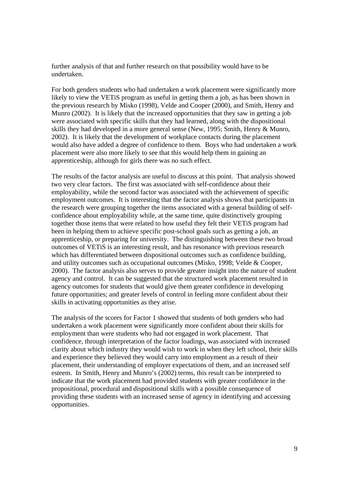further analysis of that and further research on that possibility would have to be undertaken.

For both genders students who had undertaken a work placement were significantly more likely to view the VETiS program as useful in getting them a job, as has been shown in the previous research by Misko (1998), Velde and Cooper (2000), and Smith, Henry and Munro (2002). It is likely that the increased opportunities that they saw in getting a job were associated with specific skills that they had learned, along with the dispositional skills they had developed in a more general sense (New, 1995; Smith, Henry & Munro, 2002). It is likely that the development of workplace contacts during the placement would also have added a degree of confidence to them. Boys who had undertaken a work placement were also more likely to see that this would help them in gaining an apprenticeship, although for girls there was no such effect.

The results of the factor analysis are useful to discuss at this point. That analysis showed two very clear factors. The first was associated with self-confidence about their employability, while the second factor was associated with the achievement of specific employment outcomes. It is interesting that the factor analysis shows that participants in the research were grouping together the items associated with a general building of selfconfidence about employability while, at the same time, quite distinctively grouping together those items that were related to how useful they felt their VETiS program had been in helping them to achieve specific post-school goals such as getting a job, an apprenticeship, or preparing for university. The distinguishing between these two broad outcomes of VETiS is an interesting result, and has resonance with previous research which has differentiated between dispositional outcomes such as confidence building, and utility outcomes such as occupational outcomes (Misko, 1998; Velde & Cooper, 2000). The factor analysis also serves to provide greater insight into the nature of student agency and control. It can be suggested that the structured work placement resulted in agency outcomes for students that would give them greater confidence in developing future opportunities; and greater levels of control in feeling more confident about their skills in activating opportunities as they arise.

The analysis of the scores for Factor 1 showed that students of both genders who had undertaken a work placement were significantly more confident about their skills for employment than were students who had not engaged in work placement. That confidence, through interpretation of the factor loadings, was associated with increased clarity about which industry they would wish to work in when they left school, their skills and experience they believed they would carry into employment as a result of their placement, their understanding of employer expectations of them, and an increased self esteem. In Smith, Henry and Munro's (2002) terms, this result can be interpreted to indicate that the work placement had provided students with greater confidence in the propositional, procedural and dispositional skills with a possible consequence of providing these students with an increased sense of agency in identifying and accessing opportunities.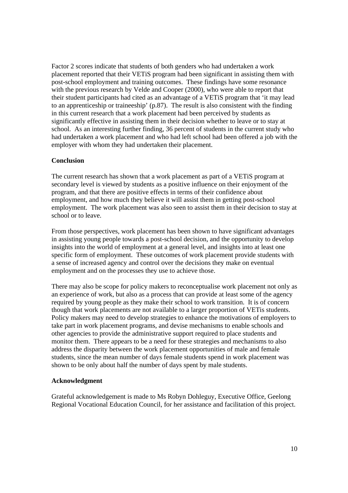Factor 2 scores indicate that students of both genders who had undertaken a work placement reported that their VETiS program had been significant in assisting them with post-school employment and training outcomes. These findings have some resonance with the previous research by Velde and Cooper (2000), who were able to report that their student participants had cited as an advantage of a VETiS program that 'it may lead to an apprenticeship or traineeship' (p.87). The result is also consistent with the finding in this current research that a work placement had been perceived by students as significantly effective in assisting them in their decision whether to leave or to stay at school. As an interesting further finding, 36 percent of students in the current study who had undertaken a work placement and who had left school had been offered a job with the employer with whom they had undertaken their placement.

# **Conclusion**

The current research has shown that a work placement as part of a VETiS program at secondary level is viewed by students as a positive influence on their enjoyment of the program, and that there are positive effects in terms of their confidence about employment, and how much they believe it will assist them in getting post-school employment. The work placement was also seen to assist them in their decision to stay at school or to leave.

From those perspectives, work placement has been shown to have significant advantages in assisting young people towards a post-school decision, and the opportunity to develop insights into the world of employment at a general level, and insights into at least one specific form of employment. These outcomes of work placement provide students with a sense of increased agency and control over the decisions they make on eventual employment and on the processes they use to achieve those.

There may also be scope for policy makers to reconceptualise work placement not only as an experience of work, but also as a process that can provide at least some of the agency required by young people as they make their school to work transition. It is of concern though that work placements are not available to a larger proportion of VETis students. Policy makers may need to develop strategies to enhance the motivations of employers to take part in work placement programs, and devise mechanisms to enable schools and other agencies to provide the administrative support required to place students and monitor them. There appears to be a need for these strategies and mechanisms to also address the disparity between the work placement opportunities of male and female students, since the mean number of days female students spend in work placement was shown to be only about half the number of days spent by male students.

### **Acknowledgment**

Grateful acknowledgement is made to Ms Robyn Dohleguy, Executive Office, Geelong Regional Vocational Education Council, for her assistance and facilitation of this project.